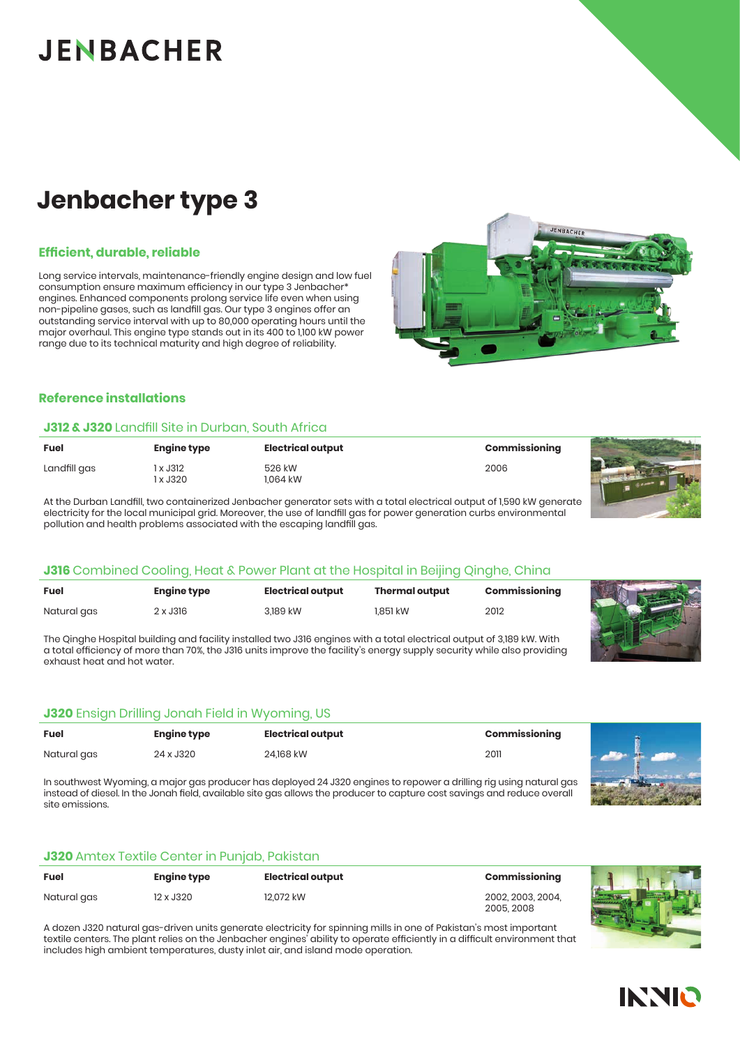# **JENBACHER**

### **Jenbacher type 3**

#### **Efficient, durable, reliable**

Long service intervals, maintenance-friendly engine design and low fuel consumption ensure maximum efficiency in our type 3 Jenbacher\* engines. Enhanced components prolong service life even when using non-pipeline gases, such as landfill gas. Our type 3 engines offer an outstanding service interval with up to 80,000 operating hours until the major overhaul. This engine type stands out in its 400 to 1,100 kW power range due to its technical maturity and high degree of reliability.



#### **Reference installations**

#### **J312 & J320** Landfill Site in Durban, South Africa

| <b>Fuel</b>  | <b>Engine type</b> | <b>Electrical output</b> | Commissioning |  |
|--------------|--------------------|--------------------------|---------------|--|
| Landfill gas | x J312<br>l x J320 | 526 kW<br>.064 kW        | 2006          |  |

At the Durban Landfill, two containerized Jenbacher generator sets with a total electrical output of 1,590 kW generate electricity for the local municipal grid. Moreover, the use of landfill gas for power generation curbs environmental pollution and health problems associated with the escaping landfill gas.

#### **J316** Combined Cooling, Heat & Power Plant at the Hospital in Beijing Qinghe, China

| <b>Fuel</b> | <b>Engine type</b> | <b>Electrical output</b> | <b>Thermal output</b> | Commissioning |  |
|-------------|--------------------|--------------------------|-----------------------|---------------|--|
| Natural gas | 2 x J316           | 3,189 kW                 | 1.851 kW              | 2012          |  |

The Qinghe Hospital building and facility installed two J316 engines with a total electrical output of 3,189 kW. With a total efficiency of more than 70%, the J316 units improve the facility's energy supply security while also providing exhaust heat and hot water.

### **J320** Ensign Drilling Jonah Field in Wyoming, US

| <b>Fuel</b> | <b>Engine type</b> | <b>Electrical output</b> | Commissioning |                                  |
|-------------|--------------------|--------------------------|---------------|----------------------------------|
| Natural gas | 24 x J320          | 24.168 kW                | 2011          | $\mathbf{A}$ in the $\mathbf{A}$ |

In southwest Wyoming, a major gas producer has deployed 24 J320 engines to repower a drilling rig using natural gas instead of diesel. In the Jonah field, available site gas allows the producer to capture cost savings and reduce overall site emissions.

#### **J320** Amtex Textile Center in Punjab, Pakistan

| <b>Fuel</b> | Engine type | <b>Electrical output</b> | Commissioning                   |
|-------------|-------------|--------------------------|---------------------------------|
| Natural gas | 12 x J320   | 12.072 kW                | 2002. 2003. 2004.<br>2005, 2008 |



A dozen J320 natural gas-driven units generate electricity for spinning mills in one of Pakistan's most important textile centers. The plant relies on the Jenbacher engines' ability to operate efficiently in a difficult environment that includes high ambient temperatures, dusty inlet air, and island mode operation.